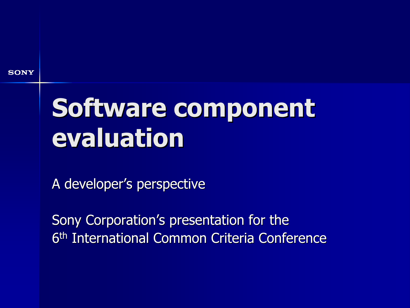## Software component evaluation

A developer's perspective

Sony Corporation's presentation for the 6<sup>th</sup> International Common Criteria Conference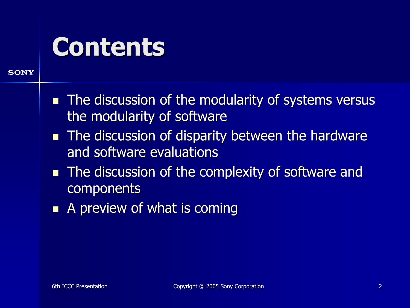#### **Contents**

- **The discussion of the modularity of systems versus** the modularity of software
- $\blacksquare$  The discussion of disparity between the hardware and software evaluations
- $\blacksquare$  The discussion of the complexity of software and **components**
- $\blacksquare$ A preview of what is coming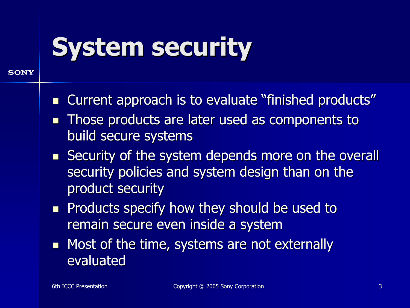#### **System security**

- $\mathbb{R}^2$ Current approach is to evaluate "finished products"
- $\mathbb{R}^2$ Those products are later used as components to build secure systems
- $\blacksquare$  Security of the system depends more on the overall security policies and system design than on the product security
- $\blacksquare$ Products specify how they should be used to remain secure even inside a system
- $\blacksquare$ Most of the time, systems are not externally evaluated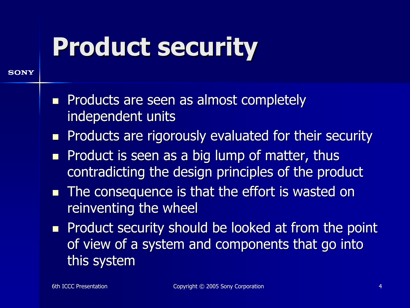#### **Product security**

- $\mathbb{R}^2$  Products are seen as almost completely Products are seen as almost completely independent units
- $\blacksquare$ Products are rigorously evaluated for their security
- $\blacksquare$ Product is seen as a big lump of matter, thus contradicting the design principles of the product
- $\blacksquare$  The consequence is that the effort is wasted on reinventing the wheel
- **Product security should be looked at from the point** of view of a system and components that go into this system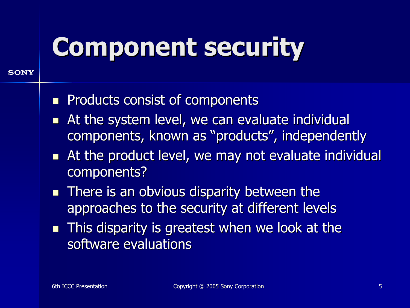#### **Component security**

- $\mathbb{R}^2$ Products consist of components
- $\blacksquare$ At the system level, we can evaluate individual components, known as "products", independently
- $\blacksquare$ At the product level, we may not evaluate individual components?
- $\blacksquare$  There is an obvious disparity between the approaches to the security at different levels
- $\blacksquare$ This disparity is greatest when we look at the software evaluations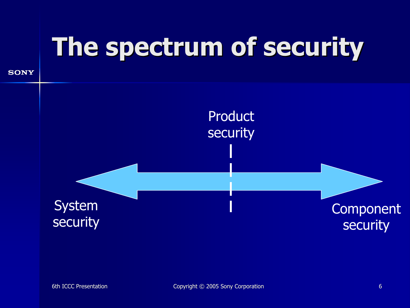## The spectrum of security

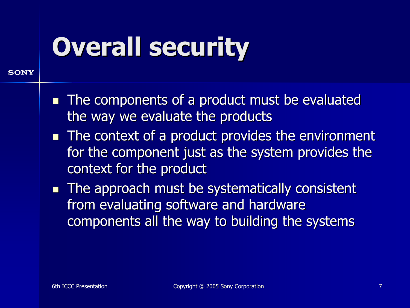#### **Overall security**

- $\blacksquare$  The components of a product must be evaluated the way we evaluate the products
- $\blacksquare$  The context of a product provides the environment for the component just as the system provides the context for the product
- $\blacksquare$  The approach must be systematically consistent from evaluating software and hardware components all the way to building the systems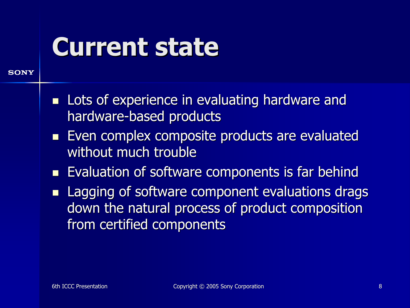#### **Current state**

- $\blacksquare$ Lots of experience in evaluating hardware and hardware-based products
- $\blacksquare$ Even complex composite products are evaluated without much trouble
- П Evaluation of software components is far behind
- $\blacksquare$ Lagging of software component evaluations drags down the natural process of product composition from certified components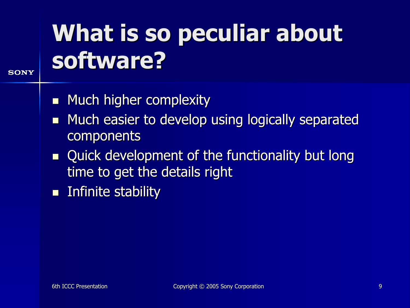#### What is so peculiar about software?

- $\blacksquare$ Much higher complexity
- $\blacksquare$ Much easier to develop using logically separated components
- $\blacksquare$ Quick development of the functionality but long time to get the details right
- $\blacksquare$ Infinite stability Infinite stability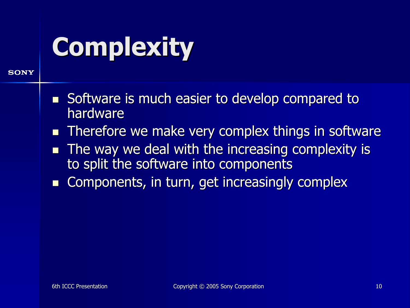# **Complexity**

- $\blacksquare$ Software is much easier to develop compared to hardware
- П Therefore we make very complex things in software
- П The way we deal with the increasing complexity is to split the software into components
- П Components, in turn, get increasingly complex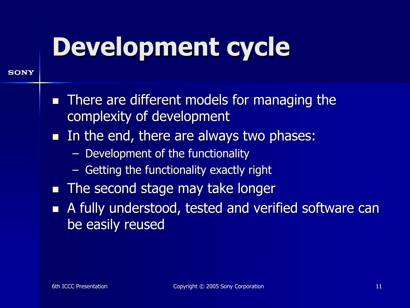#### Development cycle

- $\mathbb{R}^2$ There are different models for managing the complexity of development
- $\blacksquare$ In the end, there are always two phases:
	- $-$  Development of the functionality
	- Getting the functionality exactly right
- $\blacksquare$ The second stage may take longer
- $\mathbb{R}^2$ A fully understood, tested and verified software can be easily reused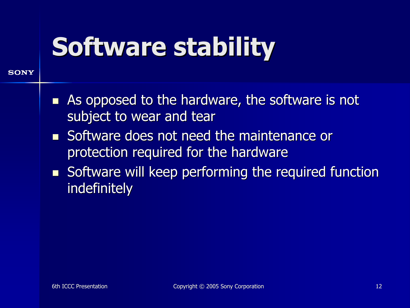#### **Software stability**

- $\blacksquare$ As opposed to the hardware, the software is not subject to wear and tear
- $\blacksquare$ Software does not need the maintenance or protection required for the hardware
- $\blacksquare$  Software will keep performing the required function indefinitely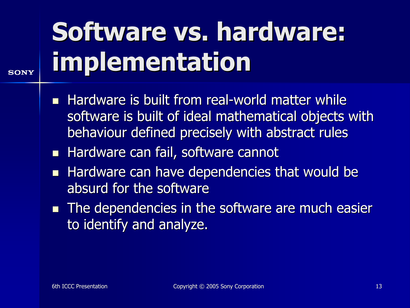# Software vs. hardware: implementation

- $\blacksquare$ Hardware is built from real-world matter while software is built of ideal mathematical objects with behaviour defined precisely with abstract rules
- $\blacksquare$ Hardware can fail, software cannot
- $\blacksquare$ Hardware can have dependencies that would be absurd for the software
- $\blacksquare$  The dependencies in the software are much easier to identify and analyze.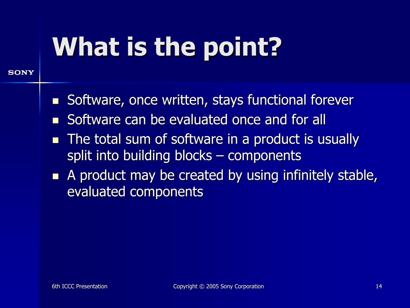# What is the point?

- $\mathbb{R}^2$ Software, once written, stays functional forever
- $\mathbb{R}^2$ Software can be evaluated once and for all
- $\blacksquare$ The total sum of software in a product is usually split into building blocks – components
- $\blacksquare$ A product may be created by using infinitely stable, evaluated components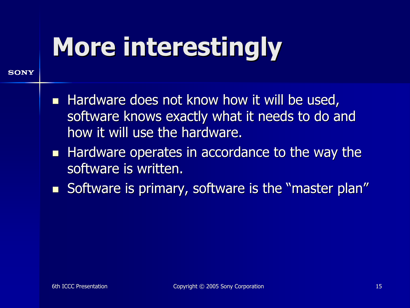## **More interestingly**

- $\blacksquare$ Hardware does not know how it will be used, software knows exactly what it needs to do and how it will use the hardware.
- $\blacksquare$ Hardware operates in accordance to the way the software is written.
- $\blacksquare$ Software is primary, software is the "master plan"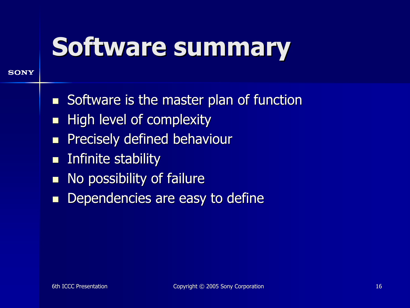#### Software summary

- Software is the master plan of function
- $\blacksquare$ High level of complexity
- $\blacksquare$ Precisely defined behaviour
- $\blacksquare$ Infinite stability Infinite stability
- $\blacksquare$ No possibility of failure
- $\blacksquare$ Dependencies are easy to define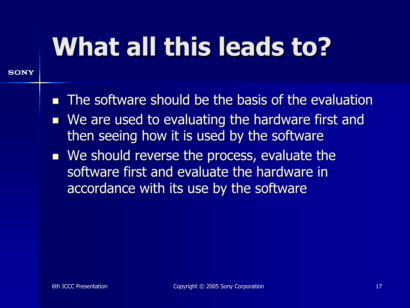## What all this leads to?

- $\mathbb{R}^2$ The software should be the basis of the evaluation
- $\blacksquare$ We are used to evaluating the hardware first and then seeing how it is used by the software
- $\blacksquare$  We should reverse the process, evaluate the software first and evaluate the hardware in accordance with its use by the software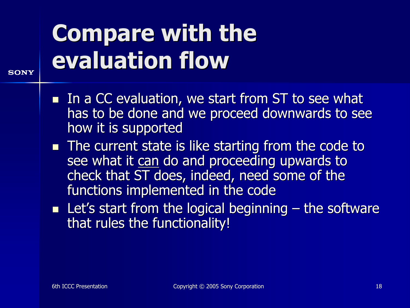#### **Compare with the** evaluation flow

- $\blacksquare$  In a CC evaluation, we start from ST to see what has to be done and we proceed downwards to see how it is supported
- $\blacksquare$  The current state is like starting from the code to see what it can do and proceeding upwards to check that ST does, indeed, need some of the functions implemented in the code
- $\blacksquare$  Let's start from the logical beginning the software that rules the functionality!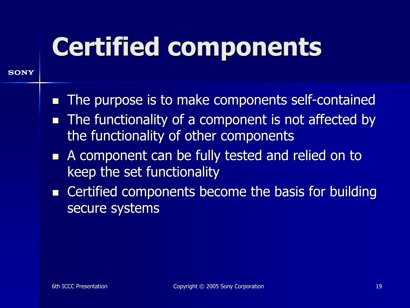#### Certified components

- $\mathbb{R}^2$ The purpose is to make components self-contained
- $\mathbb{R}^2$ The functionality of a component is not affected by the functionality of other components
- $\blacksquare$ A component can be fully tested and relied on to keep the set functionality
- $\blacksquare$ Certified components become the basis for building secure systems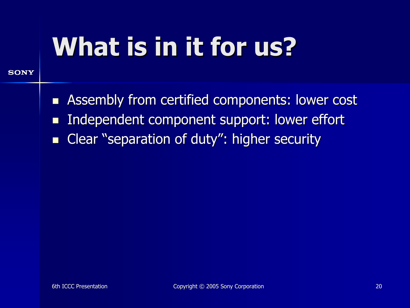## What is in it for us?

- $\blacksquare$ Assembly from certified components: lower cost
- $\blacksquare$ Independent component support: lower effort
- $\blacksquare$ Clear "separation of duty": higher security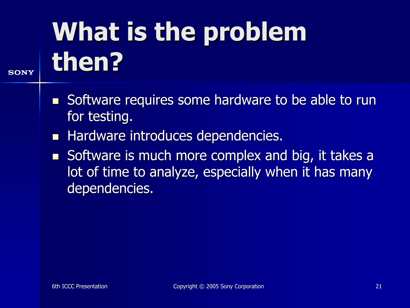# What is the problem then?

- $\blacksquare$ Software requires some hardware to be able to run for testing.
- $\blacksquare$ Hardware introduces dependencies.
- $\blacksquare$ Software is much more complex and big, it takes a lot of time to analyze, especially when it has many dependencies.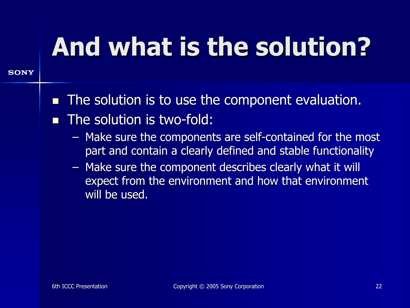## And what is the solution? And what is the solution?

- $\mathbb{R}^2$ The solution is to use the component evaluation.
- $\mathbb{R}^2$ The solution is two-fold:
	- Make sure the components are self-contained for the most part and contain a clearly defined and stable functionality
	- Make sure the component describes clearly what it will expect from the environment and how that environment will be used.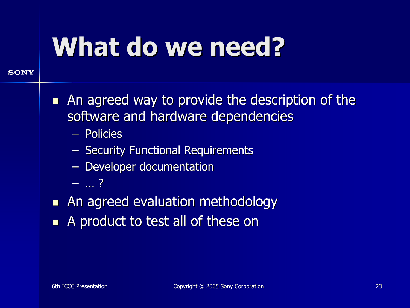#### What do we need?

- $\blacksquare$ An agreed way to provide the description of the software and hardware dependencies
	- Policies
	- **Security Functional Requirements**
	- **Developer documentation**
	- –… ?
- **An agreed evaluation methodology**
- $\blacksquare$ A product to test all of these on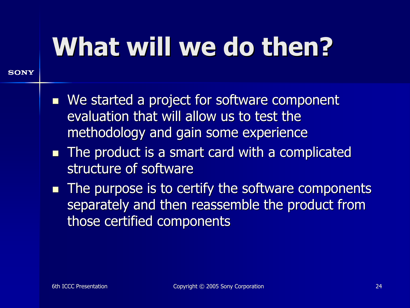#### What will we do then?

- **Ne started a project for software component We started a project for software component** evaluation that will allow us to test the methodology and gain some experience
- $\blacksquare$  The product is a smart card with a complicated structure of software
- $\blacksquare$  The purpose is to certify the software components separately and then reassemble the product from those certified components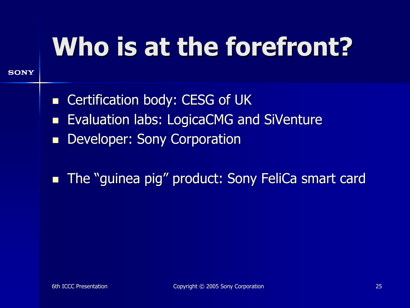## Who is at the forefront?

- $\blacksquare$ Certification body: CESG of UK
- $\blacksquare$ Evaluation labs: LogicaCMG and SiVenture
- $\blacksquare$ Developer: Sony Corporation
- $\blacksquare$ The "guinea pig" product: Sony FeliCa smart card